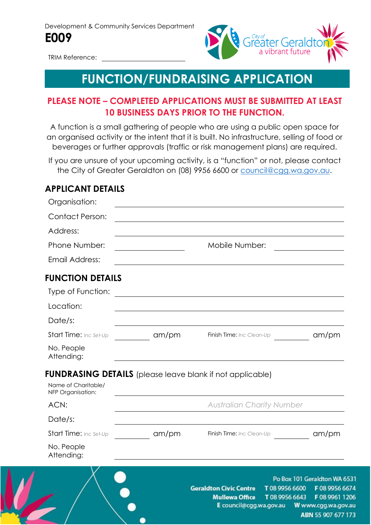

TRIM Reference:

# **FUNCTION/FUNDRAISING APPLICATION**

### **PLEASE NOTE – COMPLETED APPLICATIONS MUST BE SUBMITTED AT LEAST 10 BUSINESS DAYS PRIOR TO THE FUNCTION.**

A function is a small gathering of people who are using a public open space for an organised activity or the intent that it is built. No infrastructure, selling of food or beverages or further approvals (traffic or risk management plans) are required.

If you are unsure of your upcoming activity, is a "function" or not, please contact the City of Greater Geraldton on (08) 9956 6600 or [council@cgg.wa.gov.au.](mailto:council@cgg.wa.gov.au)

#### **APPLICANT DETAILS**

| Organisation:                            |       |                                                                                                                 |                                                                             |
|------------------------------------------|-------|-----------------------------------------------------------------------------------------------------------------|-----------------------------------------------------------------------------|
| <b>Contact Person:</b>                   |       |                                                                                                                 |                                                                             |
| Address:                                 |       |                                                                                                                 |                                                                             |
| Phone Number:                            |       | Mobile Number:                                                                                                  |                                                                             |
| Email Address:                           |       |                                                                                                                 |                                                                             |
| <b>FUNCTION DETAILS</b>                  |       |                                                                                                                 |                                                                             |
| Type of Function:                        |       |                                                                                                                 |                                                                             |
| Location:                                |       |                                                                                                                 |                                                                             |
| Date/s:                                  |       |                                                                                                                 |                                                                             |
| Start Time: Inc Set-Up                   | am/pm | Finish Time: Inc Clean-Up                                                                                       | am/m                                                                        |
| No. People<br>Attending:                 |       |                                                                                                                 |                                                                             |
| Name of Charitable/<br>NFP Organisation: |       | <b>FUNDRASING DETAILS</b> (please leave blank if not applicable)                                                |                                                                             |
| ACN:                                     |       | <b>Australian Charity Number</b>                                                                                |                                                                             |
| Date/s:                                  |       |                                                                                                                 |                                                                             |
| Start Time: Inc Set-Up                   | am/pm | Finish Time: Inc Clean-Up                                                                                       | am/m                                                                        |
| No. People<br>Attending:                 |       |                                                                                                                 |                                                                             |
|                                          |       | <b>Geraldton Civic Centre</b><br>T0899566600<br><b>Mullewa Office</b><br>T0899566643<br>E council@cgg.wa.gov.au | Po Box 101 Geraldton WA 6:<br>F 08 9956 66<br>F08996112<br>W www.cgg.wa.gov |

ABN 55 907 677 173

 $531$ 74 06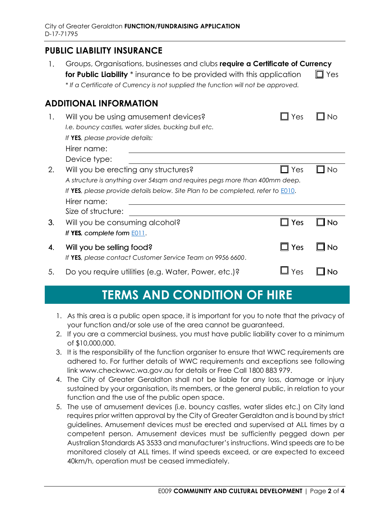### **PUBLIC LIABILITY INSURANCE**

1. Groups, Organisations, businesses and clubs **require a Certificate of Currency for Public Liability**  $*$  insurance to be provided with this application  $\Box$  Yes \* *If a Certificate of Currency is not supplied the function will not be approved.*

#### **ADDITIONAL INFORMATION**

| 1. | Will you be using amusement devices?<br>I.e. bouncy castles, water slides, bucking bull etc.<br>If YES, please provide details:<br>Hirer name:                                                                               | Yes |    |
|----|------------------------------------------------------------------------------------------------------------------------------------------------------------------------------------------------------------------------------|-----|----|
|    | Device type:                                                                                                                                                                                                                 |     |    |
| 2. | Will you be erecting any structures?<br>A structure is anything over 54sqm and requires pegs more than 400mm deep.<br>If YES, please provide details below. Site Plan to be completed, refer to <b>E010</b> .<br>Hirer name: | Yes | Νo |
|    | Size of structure:                                                                                                                                                                                                           |     |    |
| 3. | Will you be consuming alcohol?<br>If YES, complete form $E011$ .                                                                                                                                                             | Yes |    |
| 4. | Will you be selling food?<br>If YES, please contact Customer Service Team on 9956 6600.                                                                                                                                      | Yes |    |
| 5. | Do you require utilities (e.g. Water, Power, etc.)?                                                                                                                                                                          | 'es |    |

## **TERMS AND CONDITION OF HIRE**

- 1. As this area is a public open space, it is important for you to note that the privacy of your function and/or sole use of the area cannot be guaranteed.
- 2. If you are a commercial business, you must have public liability cover to a minimum of \$10,000,000.
- 3. It is the responsibility of the function organiser to ensure that WWC requirements are adhered to. For further details of WWC requirements and exceptions see following link www.checkwwc.wa.gov.au for details or Free Call 1800 883 979.
- 4. The City of Greater Geraldton shall not be liable for any loss, damage or injury sustained by your organisation, its members, or the general public, in relation to your function and the use of the public open space.
- 5. The use of amusement devices (i.e. bouncy castles, water slides etc.) on City land requires prior written approval by the City of Greater Geraldton and is bound by strict guidelines. Amusement devices must be erected and supervised at ALL times by a competent person. Amusement devices must be sufficiently pegged down per Australian Standards AS 3533 and manufacturer's instructions. Wind speeds are to be monitored closely at ALL times. If wind speeds exceed, or are expected to exceed 40km/h, operation must be ceased immediately.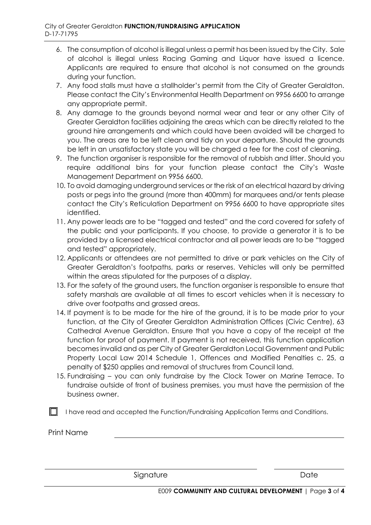- 6. The consumption of alcohol is illegal unless a permit has been issued by the City. Sale of alcohol is illegal unless Racing Gaming and Liquor have issued a licence. Applicants are required to ensure that alcohol is not consumed on the grounds during your function.
- 7. Any food stalls must have a stallholder's permit from the City of Greater Geraldton. Please contact the City's Environmental Health Department on 9956 6600 to arrange any appropriate permit.
- 8. Any damage to the grounds beyond normal wear and tear or any other City of Greater Geraldton facilities adjoining the areas which can be directly related to the ground hire arrangements and which could have been avoided will be charged to you. The areas are to be left clean and tidy on your departure. Should the grounds be left in an unsatisfactory state you will be charged a fee for the cost of cleaning.
- 9. The function organiser is responsible for the removal of rubbish and litter. Should you require additional bins for your function please contact the City's Waste Management Department on 9956 6600.
- 10. To avoid damaging underground services or the risk of an electrical hazard by driving posts or pegs into the ground (more than 400mm) for marquees and/or tents please contact the City's Reticulation Department on 9956 6600 to have appropriate sites identified.
- 11. Any power leads are to be "tagged and tested" and the cord covered for safety of the public and your participants. If you choose, to provide a generator it is to be provided by a licensed electrical contractor and all power leads are to be "tagged and tested" appropriately.
- 12. Applicants or attendees are not permitted to drive or park vehicles on the City of Greater Geraldton's footpaths, parks or reserves. Vehicles will only be permitted within the areas stipulated for the purposes of a display.
- 13. For the safety of the ground users, the function organiser is responsible to ensure that safety marshals are available at all times to escort vehicles when it is necessary to drive over footpaths and grassed areas.
- 14. If payment is to be made for the hire of the ground, it is to be made prior to your function, at the City of Greater Geraldton Administration Offices (Civic Centre), 63 Cathedral Avenue Geraldton. Ensure that you have a copy of the receipt at the function for proof of payment. If payment is not received, this function application becomes invalid and as per City of Greater Geraldton Local Government and Public Property Local Law 2014 Schedule 1, Offences and Modified Penalties c. 25, a penalty of \$250 applies and removal of structures from Council land.
- 15. Fundraising you can only fundraise by the Clock Tower on Marine Terrace. To fundraise outside of front of business premises, you must have the permission of the business owner.

 $\Box$  I have read and accepted the Function/Fundraising Application Terms and Conditions.

Print Name

Signature Date Date